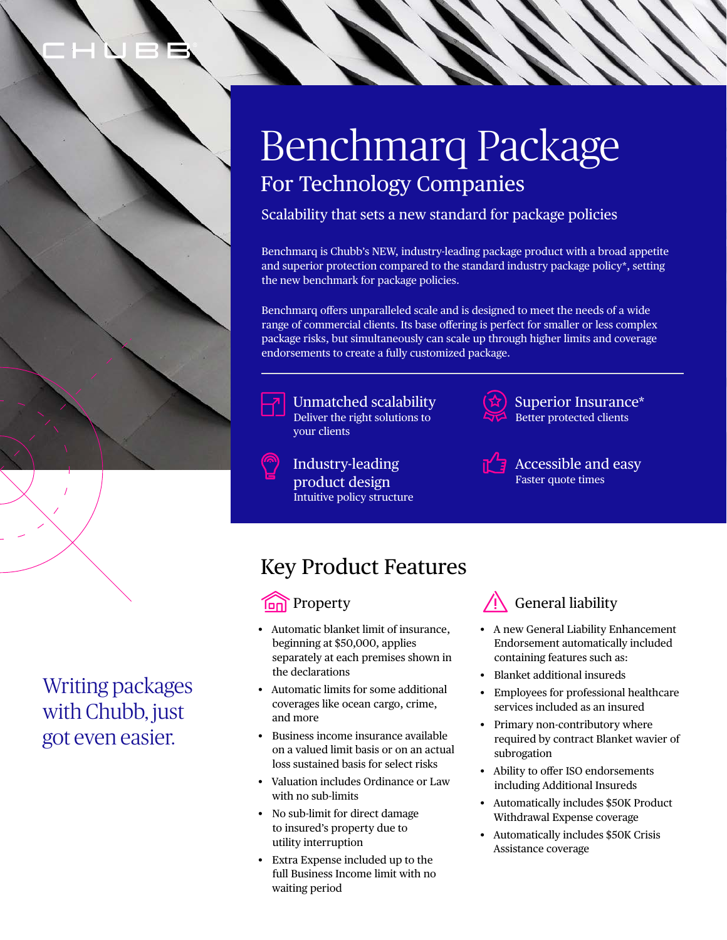

Writing packages with Chubb, just got even easier.

# Benchmarq Package For Technology Companies

Scalability that sets a new standard for package policies

Benchmarq is Chubb's NEW, industry-leading package product with a broad appetite and superior protection compared to the standard industry package policy\*, setting the new benchmark for package policies.

Benchmarq offers unparalleled scale and is designed to meet the needs of a wide range of commercial clients. Its base offering is perfect for smaller or less complex package risks, but simultaneously can scale up through higher limits and coverage endorsements to create a fully customized package.



Unmatched scalability Deliver the right solutions to your clients

Industry-leading product design Intuitive policy structure



Superior Insurance\* Better protected clients



Accessible and easy Faster quote times

## Key Product Features

#### **Ren** Property

- Automatic blanket limit of insurance, beginning at \$50,000, applies separately at each premises shown in the declarations
- Automatic limits for some additional coverages like ocean cargo, crime, and more
- Business income insurance available on a valued limit basis or on an actual loss sustained basis for select risks
- Valuation includes Ordinance or Law with no sub-limits
- No sub-limit for direct damage to insured's property due to utility interruption
- Extra Expense included up to the full Business Income limit with no waiting period



- A new General Liability Enhancement Endorsement automatically included containing features such as:
- Blanket additional insureds
- Employees for professional healthcare services included as an insured
- Primary non-contributory where required by contract Blanket wavier of subrogation
- Ability to offer ISO endorsements including Additional Insureds
- Automatically includes \$50K Product Withdrawal Expense coverage
- Automatically includes \$50K Crisis Assistance coverage